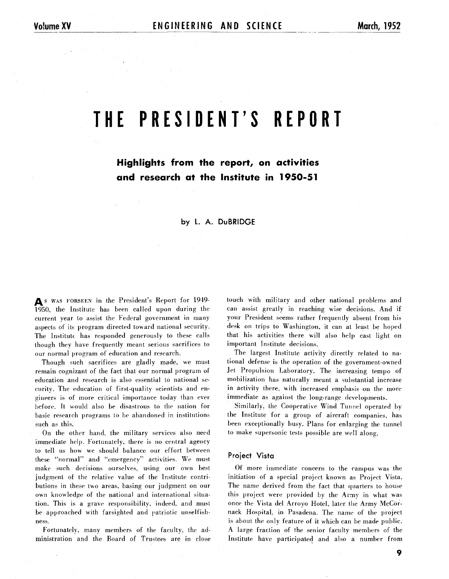# **THE PRESIDENT'S REPORT**

# **Highlights from the report, on activities and research at the Institute in 1950-51**

# by L. A. DuBRIDGE

As WAS FORSEEN in the President's Report for 1949-1950, the Institute has been called upon during the current year to assist the Federal government in many aspects of its; program directed toward national security. The Institute has responded generously to these calls though they have frequently meant serious sacrifices to our normal program of education and research.

Though such sacrifices are gladly made, we must remain cognizant of the fact that our normal program of education and research is also essential to national security. The education of first-quality scientists and engineers is of more critical importance today than ever before. It would a150 be disastrous to the nation for basic research programs to be abandoned in institutions such as this.

On the other hand. the military services also need immediate help. Fortunately, there is no central agency to tell us hov, we should balance our effort between these "normal" and "emergency" activities. We must make such decisions ourselves, using our own best judgment of the relative value of the Institute contributions in these two areas, basing our judgment on our own knowledge of the national and international situation. This is a grave responsibility, indeed. and must be approached with farsighted and patriotic unselfishness.

Fortunately, many members of the faculty. the administration and the Board of Trustees are in close touch with military and other national problems and can assist greatly in reaching wise decisions. And if your President seems rather frequently absent from his desk on trips to Washington, it can at least be hoped that his activities there will also help cast light on important Institute decisions.

The largest Institute activity directly related to national defense is the operation of the government-owned Jet Propulsion Laboratory. The increasing tempo of mobilization has naturally meant a substantial increase in activity there, with increased emphasis on the more immediate as against the long-range developments.

Similarly, the Cooperative Wind Tunnel operated by the Institute for a group of aircraft companies, has been exceptionally busy. Plans for enlarging the tunnel to make supersonic tests possible are well along.

#### **Project Vista**

Of more immediate concern to the campus was the initiation of a special project known as Project Vista. The name derived from the fact that quarters to house this project were provided by the Army in what was once the Vista del Arroyo Hotel, later the Army McCornack Hospital. in Pasadena. The name of the project is about the only feature of it which can be made public. **A** large fraction of the senior faculty members of the Institute have participated and also a number from

9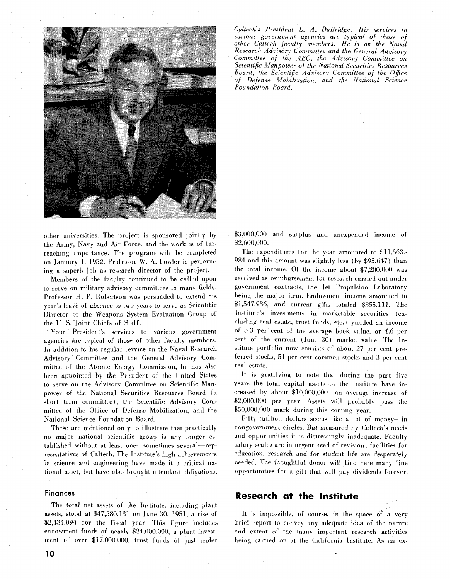

other universities. The project is sponsored jointly by the Army, Navy and Air Force, and the work is of farreaching importance. The program will be completed on January 1, 1952. Professor W. A. Fowler is performing a superb job as research director of the project.

Members of the faculty continued to be called upon to serve on military advisory committees in many fields. Professor H. P. Robertson was persuaded to extend his year's leave of absence to two years to serve as Scientific Director of the Weapons System Evaluation Group of the U. S.'Joint Chiefs of Staff.

Your President's services to various government agencies are typical of those of other faculty members. In addition to his regular service on the Naval Research Advisory Committee and the General Advisory Committee of the Atomic Energy Commission, he has also been appointed by the President of the United States to serve on the Advisory Committee on Scientific Manpower of the National Securities Resources Board (a short term committee). the Scientific Advisory Committee of the Office of Defense Mobilization. and the National Science Foundation Board.

These are mentioned only to illustrate that practically no major national scientific group is any longer established without at least one-sometimes several-representatives of Caltech. The Institute's high achievements in science and engineering have made it a critical national asset, but have also brought attendant obligations.

#### **Finances**

The total net assets of the Institute, including plant assets, stood at \$47,580,131 on June 30, 1951, a rise of \$2,434,094 for the fiscal year. This figure includes endowment funds of nearly \$24,000,000. a plant investment of over \$17,000,000, trust funds of just under *Cdtech's President L. A. DuBridge. His services to various government agencies are typical of those of other Caltech faculty members. He is on the Naval Research Advisory Committee and the General Advisory Committee of the AEC, the Advisory Committee on Scientific Manpower of the National Securities Resources Board, the Scientific Advisory Committee of the Office of Defence Mobilization, and the National Science Foundation Board.* 

\$3,000,000 and surplus and unexpended income of \$2,600,000.

The expenditures for the year amounted to \$11,363,-984 and this amount was slightly less (by \$95,647) than the total income. Of the income about \$7,200,000 was received as reimbursement for research carried out under government contracts, the Jet Propulsion Laboratory being the major item. Endowment income amounted to \$1,547,936, and current gifts totaled \$855,111. The Institute's investments in marketable securities (excluding real estate, trust funds, etc.) yielded an income of 5.3 per cent of the average book value. or 4.6 per cent of the current (June 30) market value. The Institute portfolio now consists of about 27 per cent preferred stocks, 51 per cent common stocks and **3** per cent real estate.

It is gratifying to note that during the past five years the total capital assets of the Institute have increased by about \$10,000,000-an average increase of 2,000,000 per year. Assets will probably pass the \$50,000,000 mark during this coming year.

Fifty million dollars seems like a lot of money-in nongovernment circles. But measured by Caltech's needs and opportunities it is distressingly inadequate. Faculty salary scales are in urgent need of revision; facilities for education, research and for student life are desperately needed. The thoughtful donor will find here many fine opportunities for a gift that will pay dividends forever.

# **Research at the Institute**

It is impossible, of course, in the space of a very brief report to convey any adequate idea of the nature and extent of the many important research activities being carried on at the California Institute. As an ex-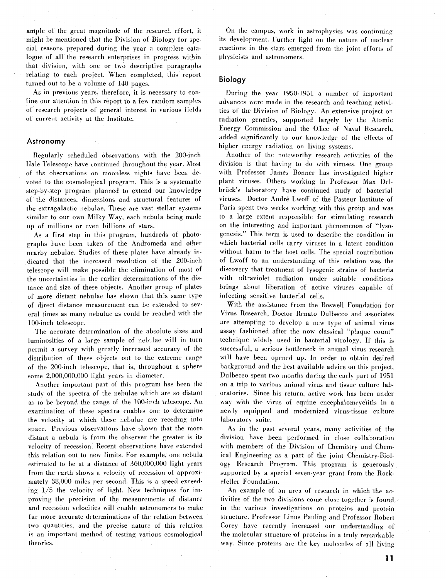ample of the great magnitude of the research effort, it might be mentioned that the Division of Biology for special reasons prepared during the year a complete catalogue of all the research enterprises in progress within that division, with one or two descriptive paragraphs relating to each project. When completed, this report turned out to be a volume of 140 pages.

As in previous years, therefore, it is necessary to confine our attention in this report to a few random samples of research projects of general interest in various fields of current activity at the Institute.

# **Astronomy**

Regularly scheduled observations with the 200-inch Hale Telescope have continued throughout the year. Most of the observations on moonless nights have been devoted to the cosmological program. This is a systematic step-by-step program planned to extend our knowledge of the distances, dimensions and structural features of the extragalactic nebulae. These are vast stellar systems similar to our own Milky Way, each nebula being made up of millions or even billions of stars.

A5 a first step in this program, hundreds of photographs have been taken of the Andromeda and other nearby nebulae. Studies of these plates have already indicated that the increased resolution of the 200-inch telescope will make possible the elimination of most of the uncertainties in the earlier determinations of the distance and size of these objects. Another group of plates of more distant nebulae has shown that this same type of direct distance measurement can be extended to several times as many nebulae as could be reached with the 100-inch telescope.

The accurate determination of the absolute sizes and luminosities of a large sample of nebulae will in turn permit a survey with greatly increased accuracy of the distribution of these objects out to the extreme range of the 200-inch telescope, that is, throughout a sphere some 2,000,000.000 light years in diameter.

Another important part of this program has been the study of the spectra of the nebulae which are so distant as to be beyond the range of the 100-inch telescope. **An**  examination of these spectra enables one to determine the velocity at which these nebulae are receding into space. Previous observations have shown that the more distant a nebula is from the observer the greater is its velocity of recession. Recent observations have extended this relation out to new limits. For example, one nebula estimated to be at a distance of 360,000,000 light years from the earth shows a velocity of recession of approximately 38,000 miles per second. This is a speed exceeding  $1/5$  the velocity of light. New techniques for improving the precision of the measurements of distance and recession velocities will enable astronomers to make far more accurate determinations of the relation between two quantities. and the precise nature of this relation is an important method of testing various cosmological theories.

On the campus, work in astrophysics was continuing its development. Further light on the nature of nuclear reactions in the stars emerged from the joint efforts of physicists and astronomers.

# **Biology**

During the year 1950-1951 a number of important advances were made in the research and teaching activities of the Division of Biology. An extensive project on radiation genetics, supported largely by the Atomic Energy Commission and the Office of Naval Research, added significantly to our knowledge of the effects of higher energy radiation on living systems.

Another of the noteworthy research activities of the division is that having to do with viruses. One group with Professor James Bonner has investigated higher plant viruses. Others working in Professor Max Delbriick's laboratory have continued study of bacterial viruses. Doctor Andre Lwoff of the Pasteur Institute of Paris spent two weeks working with this group and was to a large extent responsible for stimulating research on the interesting and important phenomenon of "lysogenesis." This term is used to describe the condition in which bacterial cells carry viruses in a latent condition without harm to the host cells. The special contribution of Lwoff to an understanding of this relation was the discovery that treatment of lysogenic strains of bacteria with ultraviolet radiation under suitable conditions brings about liberation of active viruses capable of infecting sensitive bacterial cells.

With the assistance from the Boswell Foundation for Virus Research, Doctor Renato Dulbecco and associates are attempting to develop a new type of animal virus assay fashioned after the now classical "plaque count" technique widely used in bacterial virology. If this is successful, a serious bottleneck in animal virus research will have been opened up. In order to obtain desired background and the best available advice on this project, Dulbecco spent two months during the early part of 1951 on a trip to various animal virus and tissue culture laboratories. Since his return. active work has been under way with the virus of equine encephalomeyelitis in a newly equipped and modernized virus-tissue culture laboratory suite.

As in the past several years, many activities of the division have been performed in close collaboration with members of the Division of Chemistry and Chemical Engineering as a part of the joint Chemistry-Biology Research Program. This program is generously supported by a special seven-year grant from the Rockefeller Foundation.

An example of an area of research in which the activities of the two divisions come close together is found. in the various investigations on proteins and protein structure. Professor Linus Pauling and Professor Robert Corey have recently increased our understanding of the molecular structure 'of proteins in a truly remarkable way. Since proteins are the key molecules of all living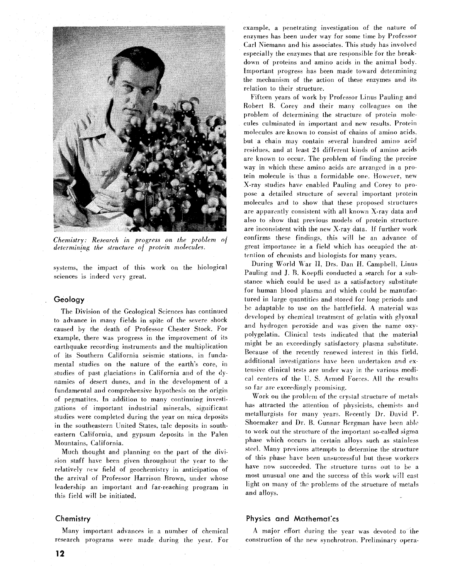

*Chemistry: Research In progress on the problem of determining the structure of protein molecules.* 

systems, the impact of this work on the biological sciences is indeed very great.

# **Geology**

The Division of the Geological Sciences has continued to advance in many fields in spite of the severe shock caused by the death of Professor Chester Stock. For example, there was progress in the improvement of its earthquake recording instruments and the multiplication of its Southern California seismic stations. in fundamental studies on the nature of the earth's core, in studies of past glaciations in California and of the dynamics of desert dunes, and in the development of a fundamental and comprehensive hypothesis on the origin of pegmatites. In addition to many continuing investigations of important industrial minerals, significant studies were completed during the year on mica deposits in the southeastern Lnited States, talc deposits in southeastern California, and gypsum deposits in the Palen Mountains, California.

Much thought and planning on the part of the division staff have been given throughout the year to the relatively new field of geochemistry in anticipation of the arrival of Professor Harrison Brown, under whose leadership an important and far-reaching program in this field will be initiated.

## **Chemistry**

Many important advances in a number of chemical research programs were made during the year. For example, a penetrating investigation of the nature of' enzymes has been under way for some time by Professor Carl Niemann and his associates. This study has involved especially the enzymes that are responsible for the breakdown of proteins and amino acids in the animal body. Important progress has been made toward determining the mechanism of the action of these enzymes and its relation to their structure.

Fifteen years of work by Professor Linus Pauling and Robert B. Corey and their many colleagues on the problem of determining the structure of protein molecules culminated in important and new results. Protein molecules are known to consist of chains of amino acids. but a chain may contain several hundred amino acid residues, and at least 21 different kinds of amino acids are known to occur. The problem of finding the precise way in which these amino acids are arranged in a protein molecule is thus a formidable one. However, new X-ray studies have enabled Pauling and Corey to propose a detailed structure of several important protein molecules and to show that these proposed structures are apparently consistent with all known X-ray data and also to show that previous models of protein structure. are inconsistent with the new X-ray data. If further work confirms these findings, this will be an advance of great importance in a field which has occupied the attention of chemists and biologists for many years.

During World War II, Drs. Dan H. Campbell, Linus Pauling and J. B. Koepfli conducted a search for a substance which could be used as a satisfactory substitute for human blood plasma and which could be manufactured in large quantities and stored for long periods and be adaptable to use on the battlefield. A material was developed by chemical treatment of gelatin with glyoxal and hydrogen peroxide and was given the name oxypolygelatin. Clinical tests indicated that the material might be an exceedingly satisfactory plasma substitute. Because of the recently renewed interest in this field. additional investigations have been undertaken and extensive clinical tests are under way in the various medical centers of the U.S. Armed Forces. All the results so far arc exceedingly promising.

Work on the problem of the crystal structure of metals has attracted the attention of physicists, chemists and metallurgists for many years. Recently Dr. David P. Shoemaker and Dr. B. Gunnar Bergman have been able to work out the structure of the important so-called sigma phase which occurs in certain alloys such as stainless steel. Many previous attempts to determine the structure of this phase have been unsuccessful but these workers have now succeeded. The structure turns out to be a most unusual one and the success of this work will cast light on many of the problems of the structure of metals and alloys.

#### **Physics and Mathemat'cs**

A major effort during the year was devoted to the construction of the new synchrotron. Preliminary opera